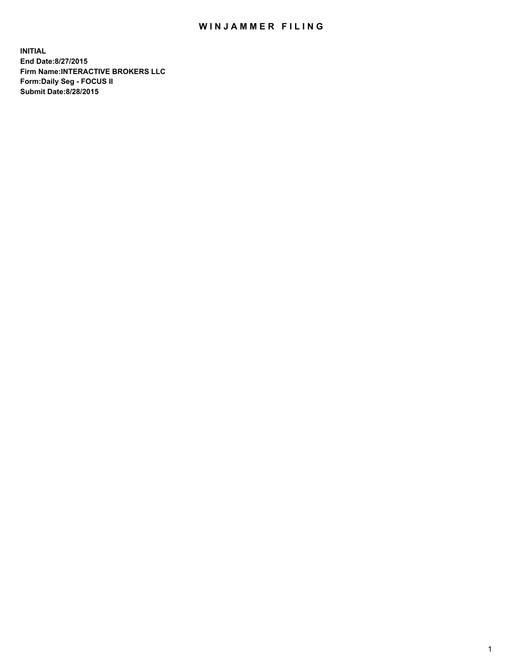## WIN JAMMER FILING

**INITIAL End Date:8/27/2015 Firm Name:INTERACTIVE BROKERS LLC Form:Daily Seg - FOCUS II Submit Date:8/28/2015**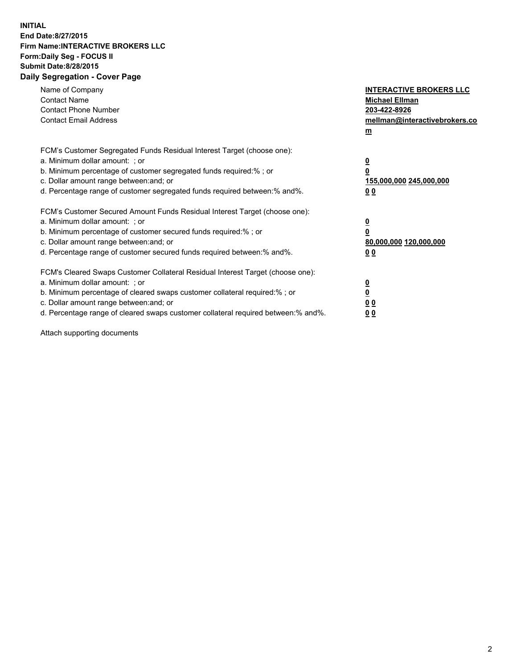## **INITIAL End Date:8/27/2015 Firm Name:INTERACTIVE BROKERS LLC Form:Daily Seg - FOCUS II Submit Date:8/28/2015 Daily Segregation - Cover Page**

| Name of Company<br><b>Contact Name</b><br><b>Contact Phone Number</b><br><b>Contact Email Address</b>                                                                                                                                                                                                                          | <b>INTERACTIVE BROKERS LLC</b><br><b>Michael Ellman</b><br>203-422-8926<br>mellman@interactivebrokers.co<br>$\underline{\mathbf{m}}$ |
|--------------------------------------------------------------------------------------------------------------------------------------------------------------------------------------------------------------------------------------------------------------------------------------------------------------------------------|--------------------------------------------------------------------------------------------------------------------------------------|
| FCM's Customer Segregated Funds Residual Interest Target (choose one):<br>a. Minimum dollar amount: ; or<br>b. Minimum percentage of customer segregated funds required:%; or<br>c. Dollar amount range between: and; or<br>d. Percentage range of customer segregated funds required between:% and%.                          | $\overline{\mathbf{0}}$<br>$\overline{\mathbf{0}}$<br>155,000,000 245,000,000<br>00                                                  |
| FCM's Customer Secured Amount Funds Residual Interest Target (choose one):<br>a. Minimum dollar amount: ; or<br>b. Minimum percentage of customer secured funds required:%; or<br>c. Dollar amount range between: and; or<br>d. Percentage range of customer secured funds required between: % and %.                          | $\overline{\mathbf{0}}$<br>$\mathbf 0$<br>80,000,000 120,000,000<br>00                                                               |
| FCM's Cleared Swaps Customer Collateral Residual Interest Target (choose one):<br>a. Minimum dollar amount: ; or<br>b. Minimum percentage of cleared swaps customer collateral required:% ; or<br>c. Dollar amount range between: and; or<br>d. Percentage range of cleared swaps customer collateral required between:% and%. | $\overline{\mathbf{0}}$<br>$\overline{\mathbf{0}}$<br>0 <sub>0</sub><br>0 <sub>0</sub>                                               |

Attach supporting documents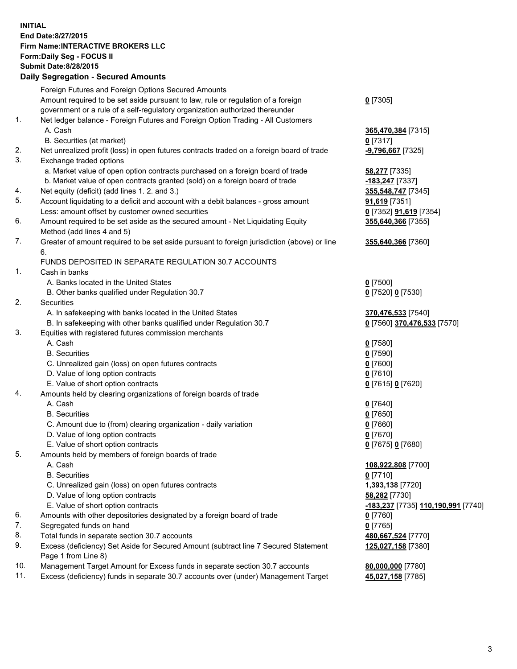## **INITIAL End Date:8/27/2015 Firm Name:INTERACTIVE BROKERS LLC Form:Daily Seg - FOCUS II Submit Date:8/28/2015 Daily Segregation - Secured Amounts**

| Dany Ocgregation - Oceaned Anioante                                              |                                                                                                                                                                                                                                                                                                                                                                                                                                                                                                                                                                                                                                                                                                                                                                                                                                                                                                                                                                                                                                                                                                                                                                                                                                                                                                                                                                                                                                                                                                                                                                                                                                                                                                                                                                                                                                                                                                                                                                                                                                                                                                                                                                                                                 |
|----------------------------------------------------------------------------------|-----------------------------------------------------------------------------------------------------------------------------------------------------------------------------------------------------------------------------------------------------------------------------------------------------------------------------------------------------------------------------------------------------------------------------------------------------------------------------------------------------------------------------------------------------------------------------------------------------------------------------------------------------------------------------------------------------------------------------------------------------------------------------------------------------------------------------------------------------------------------------------------------------------------------------------------------------------------------------------------------------------------------------------------------------------------------------------------------------------------------------------------------------------------------------------------------------------------------------------------------------------------------------------------------------------------------------------------------------------------------------------------------------------------------------------------------------------------------------------------------------------------------------------------------------------------------------------------------------------------------------------------------------------------------------------------------------------------------------------------------------------------------------------------------------------------------------------------------------------------------------------------------------------------------------------------------------------------------------------------------------------------------------------------------------------------------------------------------------------------------------------------------------------------------------------------------------------------|
| Foreign Futures and Foreign Options Secured Amounts                              |                                                                                                                                                                                                                                                                                                                                                                                                                                                                                                                                                                                                                                                                                                                                                                                                                                                                                                                                                                                                                                                                                                                                                                                                                                                                                                                                                                                                                                                                                                                                                                                                                                                                                                                                                                                                                                                                                                                                                                                                                                                                                                                                                                                                                 |
| Amount required to be set aside pursuant to law, rule or regulation of a foreign | $0$ [7305]                                                                                                                                                                                                                                                                                                                                                                                                                                                                                                                                                                                                                                                                                                                                                                                                                                                                                                                                                                                                                                                                                                                                                                                                                                                                                                                                                                                                                                                                                                                                                                                                                                                                                                                                                                                                                                                                                                                                                                                                                                                                                                                                                                                                      |
| government or a rule of a self-regulatory organization authorized thereunder     |                                                                                                                                                                                                                                                                                                                                                                                                                                                                                                                                                                                                                                                                                                                                                                                                                                                                                                                                                                                                                                                                                                                                                                                                                                                                                                                                                                                                                                                                                                                                                                                                                                                                                                                                                                                                                                                                                                                                                                                                                                                                                                                                                                                                                 |
| Net ledger balance - Foreign Futures and Foreign Option Trading - All Customers  |                                                                                                                                                                                                                                                                                                                                                                                                                                                                                                                                                                                                                                                                                                                                                                                                                                                                                                                                                                                                                                                                                                                                                                                                                                                                                                                                                                                                                                                                                                                                                                                                                                                                                                                                                                                                                                                                                                                                                                                                                                                                                                                                                                                                                 |
| A. Cash                                                                          | 365,470,384 [7315]                                                                                                                                                                                                                                                                                                                                                                                                                                                                                                                                                                                                                                                                                                                                                                                                                                                                                                                                                                                                                                                                                                                                                                                                                                                                                                                                                                                                                                                                                                                                                                                                                                                                                                                                                                                                                                                                                                                                                                                                                                                                                                                                                                                              |
|                                                                                  | $0$ [7317]                                                                                                                                                                                                                                                                                                                                                                                                                                                                                                                                                                                                                                                                                                                                                                                                                                                                                                                                                                                                                                                                                                                                                                                                                                                                                                                                                                                                                                                                                                                                                                                                                                                                                                                                                                                                                                                                                                                                                                                                                                                                                                                                                                                                      |
|                                                                                  | -9,796,667 [7325]                                                                                                                                                                                                                                                                                                                                                                                                                                                                                                                                                                                                                                                                                                                                                                                                                                                                                                                                                                                                                                                                                                                                                                                                                                                                                                                                                                                                                                                                                                                                                                                                                                                                                                                                                                                                                                                                                                                                                                                                                                                                                                                                                                                               |
|                                                                                  |                                                                                                                                                                                                                                                                                                                                                                                                                                                                                                                                                                                                                                                                                                                                                                                                                                                                                                                                                                                                                                                                                                                                                                                                                                                                                                                                                                                                                                                                                                                                                                                                                                                                                                                                                                                                                                                                                                                                                                                                                                                                                                                                                                                                                 |
|                                                                                  | <b>58,277</b> [7335]                                                                                                                                                                                                                                                                                                                                                                                                                                                                                                                                                                                                                                                                                                                                                                                                                                                                                                                                                                                                                                                                                                                                                                                                                                                                                                                                                                                                                                                                                                                                                                                                                                                                                                                                                                                                                                                                                                                                                                                                                                                                                                                                                                                            |
|                                                                                  | -183,247 [7337]                                                                                                                                                                                                                                                                                                                                                                                                                                                                                                                                                                                                                                                                                                                                                                                                                                                                                                                                                                                                                                                                                                                                                                                                                                                                                                                                                                                                                                                                                                                                                                                                                                                                                                                                                                                                                                                                                                                                                                                                                                                                                                                                                                                                 |
|                                                                                  | 355,548,747 [7345]                                                                                                                                                                                                                                                                                                                                                                                                                                                                                                                                                                                                                                                                                                                                                                                                                                                                                                                                                                                                                                                                                                                                                                                                                                                                                                                                                                                                                                                                                                                                                                                                                                                                                                                                                                                                                                                                                                                                                                                                                                                                                                                                                                                              |
|                                                                                  | 91,619 [7351]                                                                                                                                                                                                                                                                                                                                                                                                                                                                                                                                                                                                                                                                                                                                                                                                                                                                                                                                                                                                                                                                                                                                                                                                                                                                                                                                                                                                                                                                                                                                                                                                                                                                                                                                                                                                                                                                                                                                                                                                                                                                                                                                                                                                   |
|                                                                                  | 0 [7352] <b>91,619</b> [7354]                                                                                                                                                                                                                                                                                                                                                                                                                                                                                                                                                                                                                                                                                                                                                                                                                                                                                                                                                                                                                                                                                                                                                                                                                                                                                                                                                                                                                                                                                                                                                                                                                                                                                                                                                                                                                                                                                                                                                                                                                                                                                                                                                                                   |
|                                                                                  | 355,640,366 [7355]                                                                                                                                                                                                                                                                                                                                                                                                                                                                                                                                                                                                                                                                                                                                                                                                                                                                                                                                                                                                                                                                                                                                                                                                                                                                                                                                                                                                                                                                                                                                                                                                                                                                                                                                                                                                                                                                                                                                                                                                                                                                                                                                                                                              |
|                                                                                  |                                                                                                                                                                                                                                                                                                                                                                                                                                                                                                                                                                                                                                                                                                                                                                                                                                                                                                                                                                                                                                                                                                                                                                                                                                                                                                                                                                                                                                                                                                                                                                                                                                                                                                                                                                                                                                                                                                                                                                                                                                                                                                                                                                                                                 |
|                                                                                  | 355,640,366 [7360]                                                                                                                                                                                                                                                                                                                                                                                                                                                                                                                                                                                                                                                                                                                                                                                                                                                                                                                                                                                                                                                                                                                                                                                                                                                                                                                                                                                                                                                                                                                                                                                                                                                                                                                                                                                                                                                                                                                                                                                                                                                                                                                                                                                              |
|                                                                                  |                                                                                                                                                                                                                                                                                                                                                                                                                                                                                                                                                                                                                                                                                                                                                                                                                                                                                                                                                                                                                                                                                                                                                                                                                                                                                                                                                                                                                                                                                                                                                                                                                                                                                                                                                                                                                                                                                                                                                                                                                                                                                                                                                                                                                 |
|                                                                                  |                                                                                                                                                                                                                                                                                                                                                                                                                                                                                                                                                                                                                                                                                                                                                                                                                                                                                                                                                                                                                                                                                                                                                                                                                                                                                                                                                                                                                                                                                                                                                                                                                                                                                                                                                                                                                                                                                                                                                                                                                                                                                                                                                                                                                 |
|                                                                                  |                                                                                                                                                                                                                                                                                                                                                                                                                                                                                                                                                                                                                                                                                                                                                                                                                                                                                                                                                                                                                                                                                                                                                                                                                                                                                                                                                                                                                                                                                                                                                                                                                                                                                                                                                                                                                                                                                                                                                                                                                                                                                                                                                                                                                 |
|                                                                                  | $0$ [7500]                                                                                                                                                                                                                                                                                                                                                                                                                                                                                                                                                                                                                                                                                                                                                                                                                                                                                                                                                                                                                                                                                                                                                                                                                                                                                                                                                                                                                                                                                                                                                                                                                                                                                                                                                                                                                                                                                                                                                                                                                                                                                                                                                                                                      |
|                                                                                  | 0 [7520] 0 [7530]                                                                                                                                                                                                                                                                                                                                                                                                                                                                                                                                                                                                                                                                                                                                                                                                                                                                                                                                                                                                                                                                                                                                                                                                                                                                                                                                                                                                                                                                                                                                                                                                                                                                                                                                                                                                                                                                                                                                                                                                                                                                                                                                                                                               |
|                                                                                  |                                                                                                                                                                                                                                                                                                                                                                                                                                                                                                                                                                                                                                                                                                                                                                                                                                                                                                                                                                                                                                                                                                                                                                                                                                                                                                                                                                                                                                                                                                                                                                                                                                                                                                                                                                                                                                                                                                                                                                                                                                                                                                                                                                                                                 |
|                                                                                  | 370,476,533 [7540]                                                                                                                                                                                                                                                                                                                                                                                                                                                                                                                                                                                                                                                                                                                                                                                                                                                                                                                                                                                                                                                                                                                                                                                                                                                                                                                                                                                                                                                                                                                                                                                                                                                                                                                                                                                                                                                                                                                                                                                                                                                                                                                                                                                              |
|                                                                                  | 0 [7560] 370,476,533 [7570]                                                                                                                                                                                                                                                                                                                                                                                                                                                                                                                                                                                                                                                                                                                                                                                                                                                                                                                                                                                                                                                                                                                                                                                                                                                                                                                                                                                                                                                                                                                                                                                                                                                                                                                                                                                                                                                                                                                                                                                                                                                                                                                                                                                     |
|                                                                                  |                                                                                                                                                                                                                                                                                                                                                                                                                                                                                                                                                                                                                                                                                                                                                                                                                                                                                                                                                                                                                                                                                                                                                                                                                                                                                                                                                                                                                                                                                                                                                                                                                                                                                                                                                                                                                                                                                                                                                                                                                                                                                                                                                                                                                 |
|                                                                                  | $0$ [7580]                                                                                                                                                                                                                                                                                                                                                                                                                                                                                                                                                                                                                                                                                                                                                                                                                                                                                                                                                                                                                                                                                                                                                                                                                                                                                                                                                                                                                                                                                                                                                                                                                                                                                                                                                                                                                                                                                                                                                                                                                                                                                                                                                                                                      |
|                                                                                  | $0$ [7590]                                                                                                                                                                                                                                                                                                                                                                                                                                                                                                                                                                                                                                                                                                                                                                                                                                                                                                                                                                                                                                                                                                                                                                                                                                                                                                                                                                                                                                                                                                                                                                                                                                                                                                                                                                                                                                                                                                                                                                                                                                                                                                                                                                                                      |
|                                                                                  | $0$ [7600]                                                                                                                                                                                                                                                                                                                                                                                                                                                                                                                                                                                                                                                                                                                                                                                                                                                                                                                                                                                                                                                                                                                                                                                                                                                                                                                                                                                                                                                                                                                                                                                                                                                                                                                                                                                                                                                                                                                                                                                                                                                                                                                                                                                                      |
|                                                                                  | $0$ [7610]                                                                                                                                                                                                                                                                                                                                                                                                                                                                                                                                                                                                                                                                                                                                                                                                                                                                                                                                                                                                                                                                                                                                                                                                                                                                                                                                                                                                                                                                                                                                                                                                                                                                                                                                                                                                                                                                                                                                                                                                                                                                                                                                                                                                      |
|                                                                                  |                                                                                                                                                                                                                                                                                                                                                                                                                                                                                                                                                                                                                                                                                                                                                                                                                                                                                                                                                                                                                                                                                                                                                                                                                                                                                                                                                                                                                                                                                                                                                                                                                                                                                                                                                                                                                                                                                                                                                                                                                                                                                                                                                                                                                 |
|                                                                                  | 0 [7615] 0 [7620]                                                                                                                                                                                                                                                                                                                                                                                                                                                                                                                                                                                                                                                                                                                                                                                                                                                                                                                                                                                                                                                                                                                                                                                                                                                                                                                                                                                                                                                                                                                                                                                                                                                                                                                                                                                                                                                                                                                                                                                                                                                                                                                                                                                               |
|                                                                                  |                                                                                                                                                                                                                                                                                                                                                                                                                                                                                                                                                                                                                                                                                                                                                                                                                                                                                                                                                                                                                                                                                                                                                                                                                                                                                                                                                                                                                                                                                                                                                                                                                                                                                                                                                                                                                                                                                                                                                                                                                                                                                                                                                                                                                 |
|                                                                                  | $0$ [7640]                                                                                                                                                                                                                                                                                                                                                                                                                                                                                                                                                                                                                                                                                                                                                                                                                                                                                                                                                                                                                                                                                                                                                                                                                                                                                                                                                                                                                                                                                                                                                                                                                                                                                                                                                                                                                                                                                                                                                                                                                                                                                                                                                                                                      |
|                                                                                  | $0$ [7650]                                                                                                                                                                                                                                                                                                                                                                                                                                                                                                                                                                                                                                                                                                                                                                                                                                                                                                                                                                                                                                                                                                                                                                                                                                                                                                                                                                                                                                                                                                                                                                                                                                                                                                                                                                                                                                                                                                                                                                                                                                                                                                                                                                                                      |
|                                                                                  | $0$ [7660]                                                                                                                                                                                                                                                                                                                                                                                                                                                                                                                                                                                                                                                                                                                                                                                                                                                                                                                                                                                                                                                                                                                                                                                                                                                                                                                                                                                                                                                                                                                                                                                                                                                                                                                                                                                                                                                                                                                                                                                                                                                                                                                                                                                                      |
|                                                                                  | $0$ [7670]                                                                                                                                                                                                                                                                                                                                                                                                                                                                                                                                                                                                                                                                                                                                                                                                                                                                                                                                                                                                                                                                                                                                                                                                                                                                                                                                                                                                                                                                                                                                                                                                                                                                                                                                                                                                                                                                                                                                                                                                                                                                                                                                                                                                      |
|                                                                                  | 0 [7675] 0 [7680]                                                                                                                                                                                                                                                                                                                                                                                                                                                                                                                                                                                                                                                                                                                                                                                                                                                                                                                                                                                                                                                                                                                                                                                                                                                                                                                                                                                                                                                                                                                                                                                                                                                                                                                                                                                                                                                                                                                                                                                                                                                                                                                                                                                               |
|                                                                                  |                                                                                                                                                                                                                                                                                                                                                                                                                                                                                                                                                                                                                                                                                                                                                                                                                                                                                                                                                                                                                                                                                                                                                                                                                                                                                                                                                                                                                                                                                                                                                                                                                                                                                                                                                                                                                                                                                                                                                                                                                                                                                                                                                                                                                 |
|                                                                                  | 108,922,808 [7700]                                                                                                                                                                                                                                                                                                                                                                                                                                                                                                                                                                                                                                                                                                                                                                                                                                                                                                                                                                                                                                                                                                                                                                                                                                                                                                                                                                                                                                                                                                                                                                                                                                                                                                                                                                                                                                                                                                                                                                                                                                                                                                                                                                                              |
|                                                                                  | $0$ [7710]                                                                                                                                                                                                                                                                                                                                                                                                                                                                                                                                                                                                                                                                                                                                                                                                                                                                                                                                                                                                                                                                                                                                                                                                                                                                                                                                                                                                                                                                                                                                                                                                                                                                                                                                                                                                                                                                                                                                                                                                                                                                                                                                                                                                      |
|                                                                                  | 1,393,138 [7720]                                                                                                                                                                                                                                                                                                                                                                                                                                                                                                                                                                                                                                                                                                                                                                                                                                                                                                                                                                                                                                                                                                                                                                                                                                                                                                                                                                                                                                                                                                                                                                                                                                                                                                                                                                                                                                                                                                                                                                                                                                                                                                                                                                                                |
|                                                                                  | 58,282 [7730]                                                                                                                                                                                                                                                                                                                                                                                                                                                                                                                                                                                                                                                                                                                                                                                                                                                                                                                                                                                                                                                                                                                                                                                                                                                                                                                                                                                                                                                                                                                                                                                                                                                                                                                                                                                                                                                                                                                                                                                                                                                                                                                                                                                                   |
|                                                                                  | -183,237 [7735] 110,190,991 [7740]                                                                                                                                                                                                                                                                                                                                                                                                                                                                                                                                                                                                                                                                                                                                                                                                                                                                                                                                                                                                                                                                                                                                                                                                                                                                                                                                                                                                                                                                                                                                                                                                                                                                                                                                                                                                                                                                                                                                                                                                                                                                                                                                                                              |
|                                                                                  | 0 [7760]                                                                                                                                                                                                                                                                                                                                                                                                                                                                                                                                                                                                                                                                                                                                                                                                                                                                                                                                                                                                                                                                                                                                                                                                                                                                                                                                                                                                                                                                                                                                                                                                                                                                                                                                                                                                                                                                                                                                                                                                                                                                                                                                                                                                        |
|                                                                                  | $0$ [7765]                                                                                                                                                                                                                                                                                                                                                                                                                                                                                                                                                                                                                                                                                                                                                                                                                                                                                                                                                                                                                                                                                                                                                                                                                                                                                                                                                                                                                                                                                                                                                                                                                                                                                                                                                                                                                                                                                                                                                                                                                                                                                                                                                                                                      |
|                                                                                  | 480,667,524 [7770]                                                                                                                                                                                                                                                                                                                                                                                                                                                                                                                                                                                                                                                                                                                                                                                                                                                                                                                                                                                                                                                                                                                                                                                                                                                                                                                                                                                                                                                                                                                                                                                                                                                                                                                                                                                                                                                                                                                                                                                                                                                                                                                                                                                              |
|                                                                                  | 125,027,158 [7380]                                                                                                                                                                                                                                                                                                                                                                                                                                                                                                                                                                                                                                                                                                                                                                                                                                                                                                                                                                                                                                                                                                                                                                                                                                                                                                                                                                                                                                                                                                                                                                                                                                                                                                                                                                                                                                                                                                                                                                                                                                                                                                                                                                                              |
|                                                                                  |                                                                                                                                                                                                                                                                                                                                                                                                                                                                                                                                                                                                                                                                                                                                                                                                                                                                                                                                                                                                                                                                                                                                                                                                                                                                                                                                                                                                                                                                                                                                                                                                                                                                                                                                                                                                                                                                                                                                                                                                                                                                                                                                                                                                                 |
|                                                                                  | 80,000,000 [7780]                                                                                                                                                                                                                                                                                                                                                                                                                                                                                                                                                                                                                                                                                                                                                                                                                                                                                                                                                                                                                                                                                                                                                                                                                                                                                                                                                                                                                                                                                                                                                                                                                                                                                                                                                                                                                                                                                                                                                                                                                                                                                                                                                                                               |
|                                                                                  | 45,027,158 [7785]                                                                                                                                                                                                                                                                                                                                                                                                                                                                                                                                                                                                                                                                                                                                                                                                                                                                                                                                                                                                                                                                                                                                                                                                                                                                                                                                                                                                                                                                                                                                                                                                                                                                                                                                                                                                                                                                                                                                                                                                                                                                                                                                                                                               |
|                                                                                  | B. Securities (at market)<br>Net unrealized profit (loss) in open futures contracts traded on a foreign board of trade<br>Exchange traded options<br>a. Market value of open option contracts purchased on a foreign board of trade<br>b. Market value of open contracts granted (sold) on a foreign board of trade<br>Net equity (deficit) (add lines 1.2. and 3.)<br>Account liquidating to a deficit and account with a debit balances - gross amount<br>Less: amount offset by customer owned securities<br>Amount required to be set aside as the secured amount - Net Liquidating Equity<br>Method (add lines 4 and 5)<br>Greater of amount required to be set aside pursuant to foreign jurisdiction (above) or line<br>6.<br>FUNDS DEPOSITED IN SEPARATE REGULATION 30.7 ACCOUNTS<br>Cash in banks<br>A. Banks located in the United States<br>B. Other banks qualified under Regulation 30.7<br>Securities<br>A. In safekeeping with banks located in the United States<br>B. In safekeeping with other banks qualified under Regulation 30.7<br>Equities with registered futures commission merchants<br>A. Cash<br><b>B.</b> Securities<br>C. Unrealized gain (loss) on open futures contracts<br>D. Value of long option contracts<br>E. Value of short option contracts<br>Amounts held by clearing organizations of foreign boards of trade<br>A. Cash<br><b>B.</b> Securities<br>C. Amount due to (from) clearing organization - daily variation<br>D. Value of long option contracts<br>E. Value of short option contracts<br>Amounts held by members of foreign boards of trade<br>A. Cash<br><b>B.</b> Securities<br>C. Unrealized gain (loss) on open futures contracts<br>D. Value of long option contracts<br>E. Value of short option contracts<br>Amounts with other depositories designated by a foreign board of trade<br>Segregated funds on hand<br>Total funds in separate section 30.7 accounts<br>Excess (deficiency) Set Aside for Secured Amount (subtract line 7 Secured Statement<br>Page 1 from Line 8)<br>Management Target Amount for Excess funds in separate section 30.7 accounts<br>Excess (deficiency) funds in separate 30.7 accounts over (under) Management Target |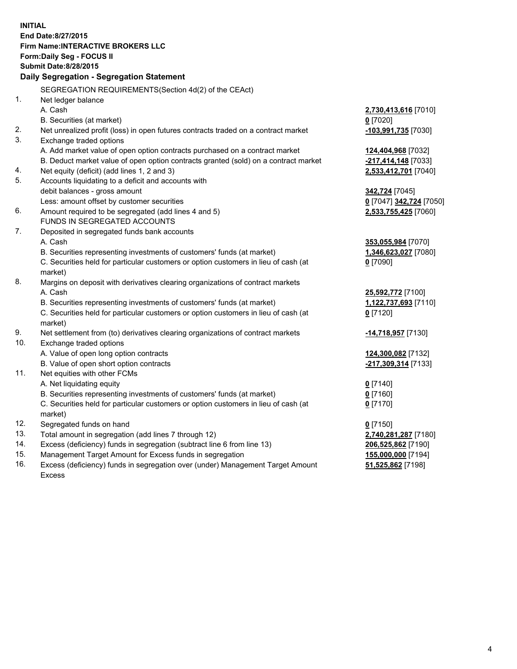**INITIAL End Date:8/27/2015 Firm Name:INTERACTIVE BROKERS LLC Form:Daily Seg - FOCUS II Submit Date:8/28/2015 Daily Segregation - Segregation Statement** SEGREGATION REQUIREMENTS(Section 4d(2) of the CEAct) 1. Net ledger balance A. Cash **2,730,413,616** [7010] B. Securities (at market) **0** [7020] 2. Net unrealized profit (loss) in open futures contracts traded on a contract market **-103,991,735** [7030] 3. Exchange traded options A. Add market value of open option contracts purchased on a contract market **124,404,968** [7032] B. Deduct market value of open option contracts granted (sold) on a contract market **-217,414,148** [7033] 4. Net equity (deficit) (add lines 1, 2 and 3) **2,533,412,701** [7040] 5. Accounts liquidating to a deficit and accounts with debit balances - gross amount **342,724** [7045] Less: amount offset by customer securities **0** [7047] **342,724** [7050] 6. Amount required to be segregated (add lines 4 and 5) **2,533,755,425** [7060] FUNDS IN SEGREGATED ACCOUNTS 7. Deposited in segregated funds bank accounts A. Cash **353,055,984** [7070] B. Securities representing investments of customers' funds (at market) **1,346,623,027** [7080] C. Securities held for particular customers or option customers in lieu of cash (at market) **0** [7090] 8. Margins on deposit with derivatives clearing organizations of contract markets A. Cash **25,592,772** [7100] B. Securities representing investments of customers' funds (at market) **1,122,737,693** [7110] C. Securities held for particular customers or option customers in lieu of cash (at market) **0** [7120] 9. Net settlement from (to) derivatives clearing organizations of contract markets **-14,718,957** [7130] 10. Exchange traded options A. Value of open long option contracts **124,300,082** [7132] B. Value of open short option contracts **-217,309,314** [7133] 11. Net equities with other FCMs A. Net liquidating equity **0** [7140] B. Securities representing investments of customers' funds (at market) **0** [7160] C. Securities held for particular customers or option customers in lieu of cash (at market) **0** [7170] 12. Segregated funds on hand **0** [7150] 13. Total amount in segregation (add lines 7 through 12) **2,740,281,287** [7180] 14. Excess (deficiency) funds in segregation (subtract line 6 from line 13) **206,525,862** [7190] 15. Management Target Amount for Excess funds in segregation **155,000,000** [7194] **51,525,862** [7198]

16. Excess (deficiency) funds in segregation over (under) Management Target Amount Excess